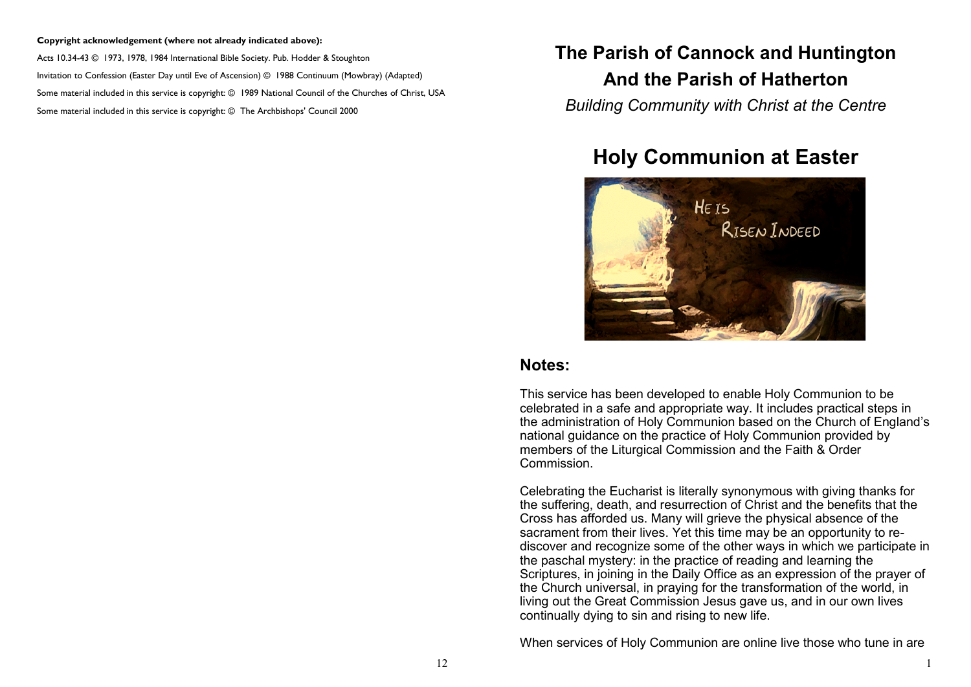#### **Copyright acknowledgement (where not already indicated above):**

Acts 10.34-43 © 1973, 1978, 1984 International Bible Society. Pub. Hodder & Stoughton Invitation to Confession (Easter Day until Eve of Ascension) © 1988 Continuum (Mowbray) (Adapted) Some material included in this service is copyright: © 1989 National Council of the Churches of Christ, USA Some material included in this service is copyright: © The Archbishops' Council 2000

# **The Parish of Cannock and Huntington And the Parish of Hatherton**

*Building Community with Christ at the Centre*

## **Holy Communion at Easter**



#### **Notes:**

This service has been developed to enable Holy Communion to be celebrated in a safe and appropriate way. It includes practical steps in the administration of Holy Communion based on the Church of England's national guidance on the practice of Holy Communion provided by members of the Liturgical Commission and the Faith & Order **Commission** 

Celebrating the Eucharist is literally synonymous with giving thanks for the suffering, death, and resurrection of Christ and the benefits that the Cross has afforded us. Many will grieve the physical absence of the sacrament from their lives. Yet this time may be an opportunity to rediscover and recognize some of the other ways in which we participate in the paschal mystery: in the practice of reading and learning the Scriptures, in joining in the Daily Office as an expression of the prayer of the Church universal, in praying for the transformation of the world, in living out the Great Commission Jesus gave us, and in our own lives continually dying to sin and rising to new life.

When services of Holy Communion are online live those who tune in are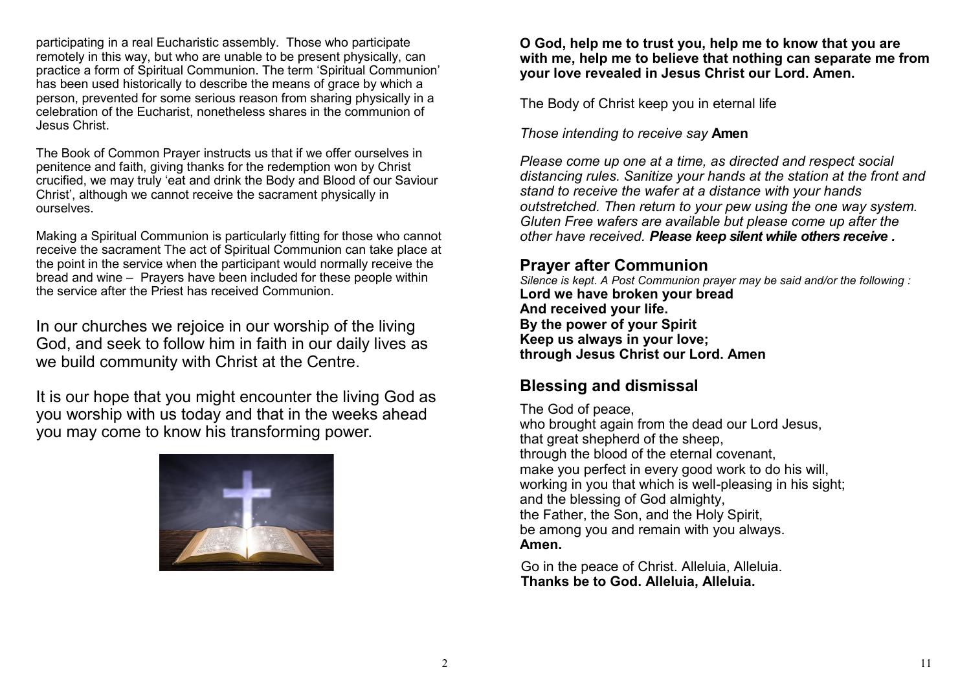participating in a real Eucharistic assembly. Those who participate remotely in this way, but who are unable to be present physically, can practice a form of Spiritual Communion. The term 'Spiritual Communion' has been used historically to describe the means of grace by which a person, prevented for some serious reason from sharing physically in a celebration of the Eucharist, nonetheless shares in the communion of Jesus Christ.

The Book of Common Prayer instructs us that if we offer ourselves in penitence and faith, giving thanks for the redemption won by Christ crucified, we may truly 'eat and drink the Body and Blood of our Saviour Christ', although we cannot receive the sacrament physically in ourselves.

Making a Spiritual Communion is particularly fitting for those who cannot receive the sacrament The act of Spiritual Communion can take place at the point in the service when the participant would normally receive the bread and wine – Prayers have been included for these people within the service after the Priest has received Communion.

In our churches we rejoice in our worship of the living God, and seek to follow him in faith in our daily lives as we build community with Christ at the Centre.

It is our hope that you might encounter the living God as you worship with us today and that in the weeks ahead you may come to know his transforming power.



#### **O God, help me to trust you, help me to know that you are with me, help me to believe that nothing can separate me from your love revealed in Jesus Christ our Lord. Amen.**

The Body of Christ keep you in eternal life

*Those intending to receive say* **Amen**

*Please come up one at a time, as directed and respect social distancing rules. Sanitize your hands at the station at the front and stand to receive the wafer at a distance with your hands outstretched. Then return to your pew using the one way system. Gluten Free wafers are available but please come up after the other have received. Please keep silent while others receive .*

#### **Prayer after Communion**

*Silence is kept. A Post Communion prayer may be said and/or the following :* **Lord we have broken your bread And received your life. By the power of your Spirit Keep us always in your love; through Jesus Christ our Lord. Amen**

#### **Blessing and dismissal**

The God of peace, who brought again from the dead our Lord Jesus, that great shepherd of the sheep, through the blood of the eternal covenant, make you perfect in every good work to do his will, working in you that which is well-pleasing in his sight; and the blessing of God almighty, the Father, the Son, and the Holy Spirit, be among you and remain with you always. **Amen.**

Go in the peace of Christ. Alleluia, Alleluia. **Thanks be to God. Alleluia, Alleluia.**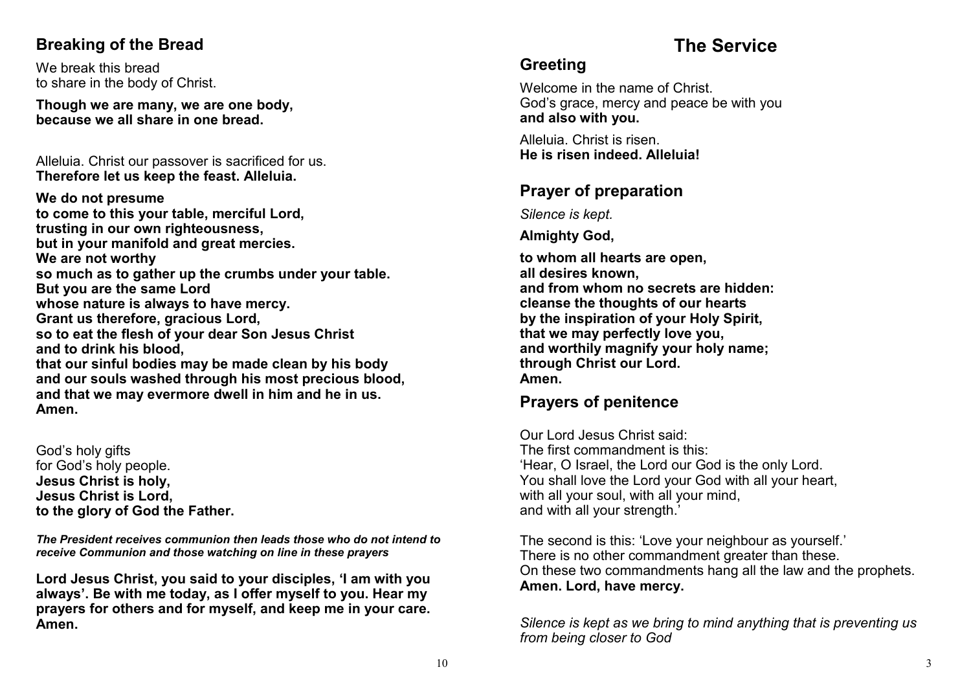### **Breaking of the Bread**

We break this bread to share in the body of Christ.

**Though we are many, we are one body, because we all share in one bread.**

Alleluia. Christ our passover is sacrificed for us. **Therefore let us keep the feast. Alleluia.**

**We do not presume to come to this your table, merciful Lord, trusting in our own righteousness, but in your manifold and great mercies. We are not worthy so much as to gather up the crumbs under your table. But you are the same Lord whose nature is always to have mercy. Grant us therefore, gracious Lord, so to eat the flesh of your dear Son Jesus Christ and to drink his blood, that our sinful bodies may be made clean by his body and our souls washed through his most precious blood, and that we may evermore dwell in him and he in us. Amen.**

God's holy gifts for God's holy people. **Jesus Christ is holy, Jesus Christ is Lord, to the glory of God the Father.**

*The President receives communion then leads those who do not intend to receive Communion and those watching on line in these prayers*

**Lord Jesus Christ, you said to your disciples, 'I am with you always'. Be with me today, as I offer myself to you. Hear my prayers for others and for myself, and keep me in your care. Amen.**

## **The Service**

## **Greeting**

Welcome in the name of Christ. God's grace, mercy and peace be with you **and also with you.**

Alleluia. Christ is risen. **He is risen indeed. Alleluia!**

## **Prayer of preparation**

*Silence is kept.*

**Almighty God,** 

**to whom all hearts are open, all desires known, and from whom no secrets are hidden: cleanse the thoughts of our hearts by the inspiration of your Holy Spirit, that we may perfectly love you, and worthily magnify your holy name; through Christ our Lord. Amen.**

## **Prayers of penitence**

Our Lord Jesus Christ said: The first commandment is this: 'Hear, O Israel, the Lord our God is the only Lord. You shall love the Lord your God with all your heart, with all your soul, with all your mind, and with all your strength.'

The second is this: 'Love your neighbour as yourself.' There is no other commandment greater than these. On these two commandments hang all the law and the prophets. **Amen. Lord, have mercy.**

*Silence is kept as we bring to mind anything that is preventing us from being closer to God*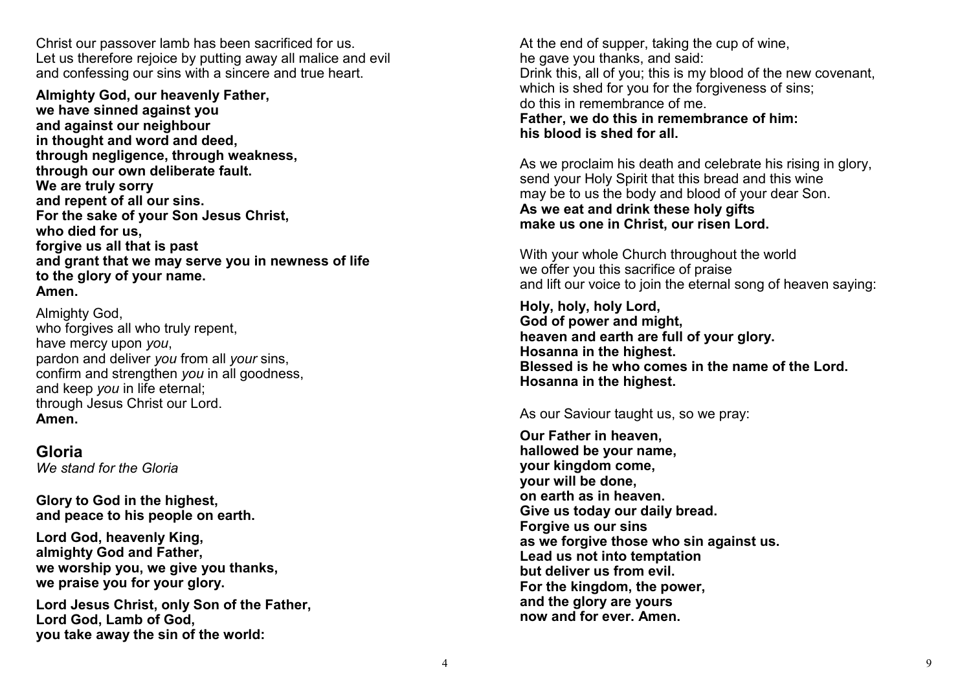Christ our passover lamb has been sacrificed for us. Let us therefore rejoice by putting away all malice and evil and confessing our sins with a sincere and true heart.

**Almighty God, our heavenly Father, we have sinned against you and against our neighbour in thought and word and deed, through negligence, through weakness, through our own deliberate fault. We are truly sorry and repent of all our sins. For the sake of your Son Jesus Christ, who died for us, forgive us all that is past and grant that we may serve you in newness of life to the glory of your name. Amen.** 

Almighty God, who forgives all who truly repent, have mercy upon *you*, pardon and deliver *you* from all *your* sins, confirm and strengthen *you* in all goodness, and keep *you* in life eternal; through Jesus Christ our Lord. **Amen.**

#### **Gloria**

*We stand for the Gloria*

**Glory to God in the highest, and peace to his people on earth.**

**Lord God, heavenly King, almighty God and Father, we worship you, we give you thanks, we praise you for your glory.**

**Lord Jesus Christ, only Son of the Father, Lord God, Lamb of God, you take away the sin of the world:**

At the end of supper, taking the cup of wine, he gave you thanks, and said: Drink this, all of you; this is my blood of the new covenant, which is shed for you for the forgiveness of sins; do this in remembrance of me. **Father, we do this in remembrance of him: his blood is shed for all.**

As we proclaim his death and celebrate his rising in glory, send your Holy Spirit that this bread and this wine may be to us the body and blood of your dear Son. **As we eat and drink these holy gifts make us one in Christ, our risen Lord.**

With your whole Church throughout the world we offer you this sacrifice of praise and lift our voice to join the eternal song of heaven saying:

**Holy, holy, holy Lord, God of power and might, heaven and earth are full of your glory. Hosanna in the highest. Blessed is he who comes in the name of the Lord. Hosanna in the highest.**

As our Saviour taught us, so we pray:

**Our Father in heaven, hallowed be your name, your kingdom come, your will be done, on earth as in heaven. Give us today our daily bread. Forgive us our sins as we forgive those who sin against us. Lead us not into temptation but deliver us from evil. For the kingdom, the power, and the glory are yours now and for ever. Amen.**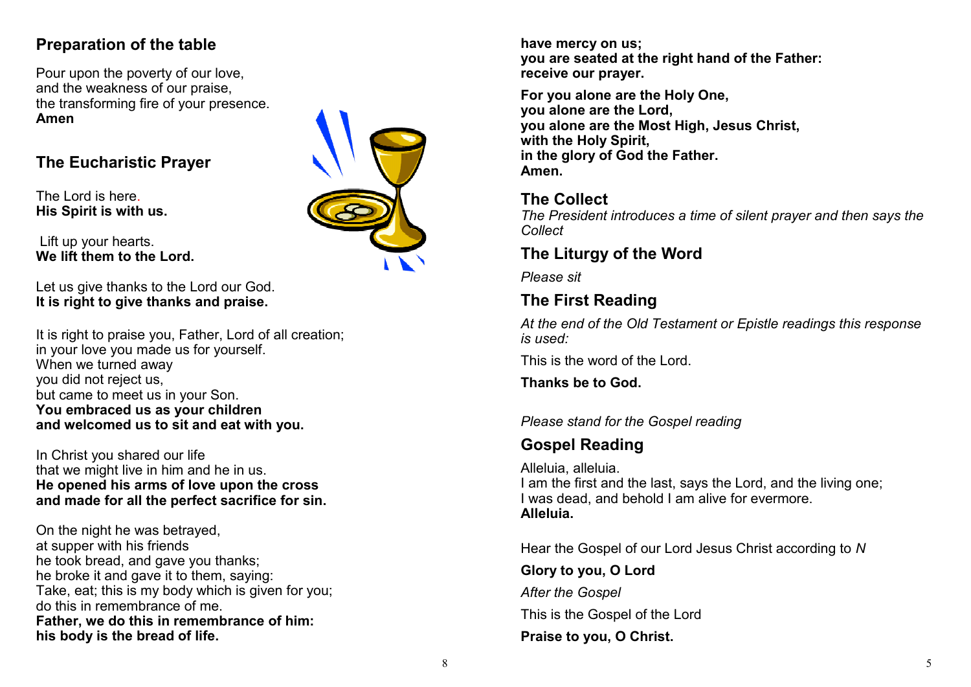## **Preparation of the table**

Pour upon the poverty of our love, and the weakness of our praise, the transforming fire of your presence. **Amen**

#### **The Eucharistic Prayer**

The Lord is here. **His Spirit is with us.**

Lift up your hearts. **We lift them to the Lord.**

Let us give thanks to the Lord our God. **It is right to give thanks and praise.**

It is right to praise you, Father, Lord of all creation; in your love you made us for yourself. When we turned away you did not reject us, but came to meet us in your Son. **You embraced us as your children and welcomed us to sit and eat with you.**

In Christ you shared our life that we might live in him and he in us. **He opened his arms of love upon the cross and made for all the perfect sacrifice for sin.**

On the night he was betrayed, at supper with his friends he took bread, and gave you thanks; he broke it and gave it to them, saying: Take, eat; this is my body which is given for you; do this in remembrance of me. **Father, we do this in remembrance of him: his body is the bread of life.**



**have mercy on us; you are seated at the right hand of the Father: receive our prayer.**

**For you alone are the Holy One, you alone are the Lord, you alone are the Most High, Jesus Christ, with the Holy Spirit, in the glory of God the Father. Amen.**

#### **The Collect**

*The President introduces a time of silent prayer and then says the Collect*

#### **The Liturgy of the Word**

*Please sit*

## **The First Reading**

*At the end of the Old Testament or Epistle readings this response is used:*

This is the word of the Lord.

**Thanks be to God.**

*Please stand for the Gospel reading*

## **Gospel Reading**

Alleluia, alleluia. I am the first and the last, says the Lord, and the living one; I was dead, and behold I am alive for evermore. **Alleluia.**

Hear the Gospel of our Lord Jesus Christ according to *N* **Glory to you, O Lord** *After the Gospel*

This is the Gospel of the Lord

#### **Praise to you, O Christ.**